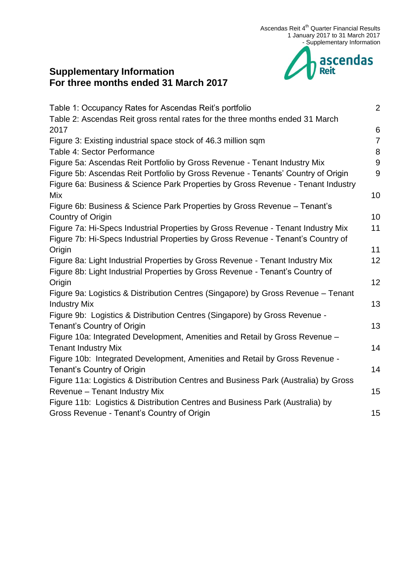

## **Supplementary Information For three months ended 31 March 2017**

| Table 1: Occupancy Rates for Ascendas Reit's portfolio                              | $\overline{2}$ |
|-------------------------------------------------------------------------------------|----------------|
| Table 2: Ascendas Reit gross rental rates for the three months ended 31 March       |                |
| 2017                                                                                | 6              |
| Figure 3: Existing industrial space stock of 46.3 million sqm                       | $\overline{7}$ |
| Table 4: Sector Performance                                                         | 8              |
| Figure 5a: Ascendas Reit Portfolio by Gross Revenue - Tenant Industry Mix           | 9              |
| Figure 5b: Ascendas Reit Portfolio by Gross Revenue - Tenants' Country of Origin    | 9              |
| Figure 6a: Business & Science Park Properties by Gross Revenue - Tenant Industry    |                |
| Mix                                                                                 | 10             |
| Figure 6b: Business & Science Park Properties by Gross Revenue - Tenant's           |                |
| Country of Origin                                                                   | 10             |
| Figure 7a: Hi-Specs Industrial Properties by Gross Revenue - Tenant Industry Mix    | 11             |
| Figure 7b: Hi-Specs Industrial Properties by Gross Revenue - Tenant's Country of    |                |
| Origin                                                                              | 11             |
| Figure 8a: Light Industrial Properties by Gross Revenue - Tenant Industry Mix       | 12             |
| Figure 8b: Light Industrial Properties by Gross Revenue - Tenant's Country of       |                |
| Origin                                                                              | 12             |
| Figure 9a: Logistics & Distribution Centres (Singapore) by Gross Revenue - Tenant   |                |
| <b>Industry Mix</b>                                                                 | 13             |
| Figure 9b: Logistics & Distribution Centres (Singapore) by Gross Revenue -          |                |
| Tenant's Country of Origin                                                          | 13             |
| Figure 10a: Integrated Development, Amenities and Retail by Gross Revenue -         |                |
| <b>Tenant Industry Mix</b>                                                          | 14             |
| Figure 10b: Integrated Development, Amenities and Retail by Gross Revenue -         |                |
| Tenant's Country of Origin                                                          | 14             |
| Figure 11a: Logistics & Distribution Centres and Business Park (Australia) by Gross |                |
| Revenue - Tenant Industry Mix                                                       | 15             |
| Figure 11b: Logistics & Distribution Centres and Business Park (Australia) by       |                |
| Gross Revenue - Tenant's Country of Origin                                          | 15             |
|                                                                                     |                |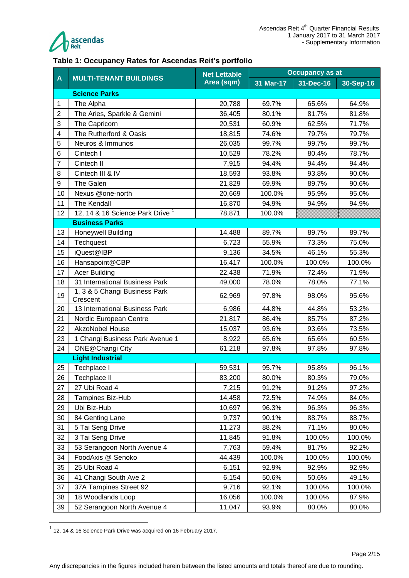

#### <span id="page-1-0"></span>**Table 1: Occupancy Rates for Ascendas Reit's portfolio**

|                         |                                             | <b>Net Lettable</b> | <b>Occupancy as at</b> |           |           |  |
|-------------------------|---------------------------------------------|---------------------|------------------------|-----------|-----------|--|
| A                       | <b>MULTI-TENANT BUILDINGS</b>               | Area (sqm)          | 31 Mar-17              | 31-Dec-16 | 30-Sep-16 |  |
|                         | <b>Science Parks</b>                        |                     |                        |           |           |  |
| 1                       | The Alpha                                   | 20,788              | 69.7%                  | 65.6%     | 64.9%     |  |
| $\overline{2}$          | The Aries, Sparkle & Gemini                 | 36,405              | 80.1%                  | 81.7%     | 81.8%     |  |
| 3                       | The Capricorn                               | 20,531              | 60.9%                  | 62.5%     | 71.7%     |  |
| $\overline{\mathbf{4}}$ | The Rutherford & Oasis                      | 18,815              | 74.6%                  | 79.7%     | 79.7%     |  |
| 5                       | Neuros & Immunos                            | 26,035              | 99.7%                  | 99.7%     | 99.7%     |  |
| 6                       | Cintech I                                   | 10,529              | 78.2%                  | 80.4%     | 78.7%     |  |
| $\overline{7}$          | Cintech II                                  | 7,915               | 94.4%                  | 94.4%     | 94.4%     |  |
| 8                       | Cintech III & IV                            | 18,593              | 93.8%                  | 93.8%     | 90.0%     |  |
| 9                       | The Galen                                   | 21,829              | 69.9%                  | 89.7%     | 90.6%     |  |
| 10                      | Nexus @one-north                            | 20,669              | 100.0%                 | 95.9%     | 95.0%     |  |
| 11                      | The Kendall                                 | 16,870              | 94.9%                  | 94.9%     | 94.9%     |  |
| 12                      | 12, 14 & 16 Science Park Drive <sup>1</sup> | 78,871              | 100.0%                 |           |           |  |
|                         | <b>Business Parks</b>                       |                     |                        |           |           |  |
| 13                      | <b>Honeywell Building</b>                   | 14,488              | 89.7%                  | 89.7%     | 89.7%     |  |
| 14                      | Techquest                                   | 6,723               | 55.9%                  | 73.3%     | 75.0%     |  |
| 15                      | iQuest@IBP                                  | 9,136               | 34.5%                  | 46.1%     | 55.3%     |  |
| 16                      | Hansapoint@CBP                              | 16,417              | 100.0%                 | 100.0%    | 100.0%    |  |
| 17                      | <b>Acer Building</b>                        | 22,438              | 71.9%                  | 72.4%     | 71.9%     |  |
| 18                      | 31 International Business Park              | 49,000              | 78.0%                  | 78.0%     | 77.1%     |  |
| 19                      | 1, 3 & 5 Changi Business Park<br>Crescent   | 62,969              | 97.8%                  | 98.0%     | 95.6%     |  |
| 20                      | 13 International Business Park              | 6,986               | 44.8%                  | 44.8%     | 53.2%     |  |
| 21                      | Nordic European Centre                      | 21,817              | 86.4%                  | 85.7%     | 87.2%     |  |
| 22                      | <b>AkzoNobel House</b>                      | 15,037              | 93.6%                  | 93.6%     | 73.5%     |  |
| 23                      | 1 Changi Business Park Avenue 1             | 8,922               | 65.6%                  | 65.6%     | 60.5%     |  |
| 24                      | ONE@Changi City                             | 61,218              | 97.8%                  | 97.8%     | 97.8%     |  |
|                         | <b>Light Industrial</b>                     |                     |                        |           |           |  |
| 25                      | Techplace I                                 | 59,531              | 95.7%                  | 95.8%     | 96.1%     |  |
| 26                      | Techplace II                                | 83,200              | 80.0%                  | 80.3%     | 79.0%     |  |
| 27                      | 27 Ubi Road 4                               | 7,215               | 91.2%                  | 91.2%     | 97.2%     |  |
| 28                      | Tampines Biz-Hub                            | 14,458              | 72.5%                  | 74.9%     | 84.0%     |  |
| 29                      | Ubi Biz-Hub                                 | 10,697              | 96.3%                  | 96.3%     | 96.3%     |  |
| 30                      | 84 Genting Lane                             | 9,737               | 90.1%                  | 88.7%     | 88.7%     |  |
| 31                      | 5 Tai Seng Drive                            | 11,273              | 88.2%                  | 71.1%     | 80.0%     |  |
| 32                      | 3 Tai Seng Drive                            | 11,845              | 91.8%                  | 100.0%    | 100.0%    |  |
| 33                      | 53 Serangoon North Avenue 4                 | 7,763               | 59.4%                  | 81.7%     | 92.2%     |  |
| 34                      | FoodAxis @ Senoko                           | 44,439              | 100.0%                 | 100.0%    | 100.0%    |  |
| 35                      | 25 Ubi Road 4                               | 6,151               | 92.9%                  | 92.9%     | 92.9%     |  |
| 36                      | 41 Changi South Ave 2                       | 6,154               | 50.6%                  | 50.6%     | 49.1%     |  |
| 37                      | 37A Tampines Street 92                      | 9,716               | 92.1%                  | 100.0%    | 100.0%    |  |
| 38                      | 18 Woodlands Loop                           | 16,056              | 100.0%                 | 100.0%    | 87.9%     |  |
| 39                      | 52 Serangoon North Avenue 4                 | 11,047              | 93.9%                  | 80.0%     | 80.0%     |  |

 1 12, 14 & 16 Science Park Drive was acquired on 16 February 2017.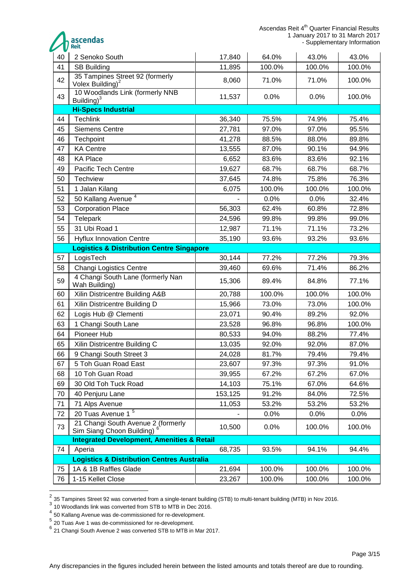ascendas

| v  |                                                                 |         |        |        |        |  |  |  |
|----|-----------------------------------------------------------------|---------|--------|--------|--------|--|--|--|
| 40 | 2 Senoko South                                                  | 17,840  | 64.0%  | 43.0%  | 43.0%  |  |  |  |
| 41 | <b>SB Building</b>                                              | 11,895  | 100.0% | 100.0% | 100.0% |  |  |  |
| 42 | 35 Tampines Street 92 (formerly<br>Volex Building) $^2$         | 8,060   | 71.0%  | 71.0%  | 100.0% |  |  |  |
| 43 | 10 Woodlands Link (formerly NNB<br>Building) <sup>3</sup>       | 11,537  | 0.0%   | 0.0%   | 100.0% |  |  |  |
|    | <b>Hi-Specs Industrial</b>                                      |         |        |        |        |  |  |  |
| 44 | <b>Techlink</b>                                                 | 36,340  | 75.5%  | 74.9%  | 75.4%  |  |  |  |
| 45 | <b>Siemens Centre</b>                                           | 27,781  | 97.0%  | 97.0%  | 95.5%  |  |  |  |
| 46 | Techpoint                                                       | 41,278  | 88.5%  | 88.0%  | 89.8%  |  |  |  |
| 47 | <b>KA Centre</b>                                                | 13,555  | 87.0%  | 90.1%  | 94.9%  |  |  |  |
| 48 | <b>KA Place</b>                                                 | 6,652   | 83.6%  | 83.6%  | 92.1%  |  |  |  |
| 49 | Pacific Tech Centre                                             | 19,627  | 68.7%  | 68.7%  | 68.7%  |  |  |  |
| 50 | <b>Techview</b>                                                 | 37,645  | 74.8%  | 75.8%  | 76.3%  |  |  |  |
| 51 | 1 Jalan Kilang                                                  | 6,075   | 100.0% | 100.0% | 100.0% |  |  |  |
| 52 | 50 Kallang Avenue <sup>4</sup>                                  |         | 0.0%   | 0.0%   | 32.4%  |  |  |  |
| 53 | <b>Corporation Place</b>                                        | 56,303  | 62.4%  | 60.8%  | 72.8%  |  |  |  |
| 54 | Telepark                                                        | 24,596  | 99.8%  | 99.8%  | 99.0%  |  |  |  |
| 55 | 31 Ubi Road 1                                                   | 12,987  | 71.1%  | 71.1%  | 73.2%  |  |  |  |
| 56 | <b>Hyflux Innovation Centre</b>                                 | 35,190  | 93.6%  | 93.2%  | 93.6%  |  |  |  |
|    | <b>Logistics &amp; Distribution Centre Singapore</b>            |         |        |        |        |  |  |  |
| 57 | LogisTech                                                       | 30,144  | 77.2%  | 77.2%  | 79.3%  |  |  |  |
| 58 | <b>Changi Logistics Centre</b>                                  | 39,460  | 69.6%  | 71.4%  | 86.2%  |  |  |  |
| 59 | 4 Changi South Lane (formerly Nan<br>Wah Building)              | 15,306  | 89.4%  | 84.8%  | 77.1%  |  |  |  |
| 60 | Xilin Districentre Building A&B                                 | 20,788  | 100.0% | 100.0% | 100.0% |  |  |  |
| 61 | Xilin Districentre Building D                                   | 15,966  | 73.0%  | 73.0%  | 100.0% |  |  |  |
| 62 | Logis Hub @ Clementi                                            | 23,071  | 90.4%  | 89.2%  | 92.0%  |  |  |  |
| 63 | 1 Changi South Lane                                             | 23,528  | 96.8%  | 96.8%  | 100.0% |  |  |  |
| 64 | Pioneer Hub                                                     | 80,533  | 94.0%  | 88.2%  | 77.4%  |  |  |  |
| 65 | Xilin Districentre Building C                                   | 13,035  | 92.0%  | 92.0%  | 87.0%  |  |  |  |
| 66 | 9 Changi South Street 3                                         | 24,028  | 81.7%  | 79.4%  | 79.4%  |  |  |  |
| 67 | 5 Toh Guan Road East                                            | 23,607  | 97.3%  | 97.3%  | 91.0%  |  |  |  |
| 68 | 10 Toh Guan Road                                                | 39,955  | 67.2%  | 67.2%  | 67.0%  |  |  |  |
| 69 | 30 Old Toh Tuck Road                                            | 14,103  | 75.1%  | 67.0%  | 64.6%  |  |  |  |
| 70 | 40 Penjuru Lane                                                 | 153,125 | 91.2%  | 84.0%  | 72.5%  |  |  |  |
| 71 | 71 Alps Avenue                                                  | 11,053  | 53.2%  | 53.2%  | 53.2%  |  |  |  |
| 72 | 20 Tuas Avenue 1 <sup>5</sup>                                   |         | 0.0%   | 0.0%   | 0.0%   |  |  |  |
| 73 | 21 Changi South Avenue 2 (formerly<br>Sim Siang Choon Building) | 10,500  | 0.0%   | 100.0% | 100.0% |  |  |  |
|    | <b>Integrated Development, Amenities &amp; Retail</b>           |         |        |        |        |  |  |  |
| 74 | Aperia                                                          | 68,735  | 93.5%  | 94.1%  | 94.4%  |  |  |  |
|    | <b>Logistics &amp; Distribution Centres Australia</b>           |         |        |        |        |  |  |  |
| 75 | 1A & 1B Raffles Glade                                           | 21,694  | 100.0% | 100.0% | 100.0% |  |  |  |
| 76 | 1-15 Kellet Close                                               | 23,267  | 100.0% | 100.0% | 100.0% |  |  |  |

 2 35 Tampines Street 92 was converted from a single-tenant building (STB) to multi-tenant building (MTB) in Nov 2016.

<sup>&</sup>lt;sup>3</sup> 10 Woodlands link was converted from STB to MTB in Dec 2016.

50 Kallang Avenue was de-commissioned for re-development.

20 Tuas Ave 1 was de-commissioned for re-development.

21 Changi South Avenue 2 was converted STB to MTB in Mar 2017.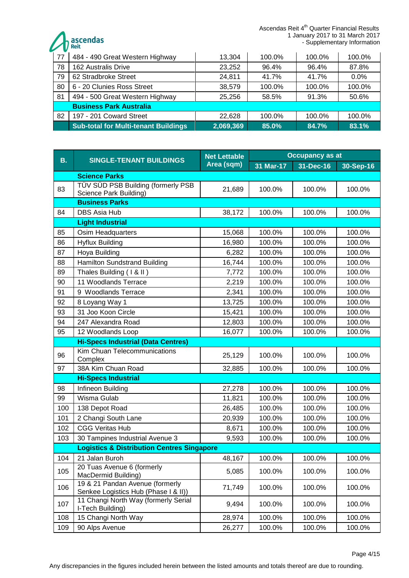Ascendas Reit 4<sup>th</sup> Quarter Financial Results 1 January 2017 to 31 March 2017 - Supplementary Information

ascendas

| 77 | 484 - 490 Great Western Highway             | 13,304    | 100.0% | 100.0% | 100.0% |
|----|---------------------------------------------|-----------|--------|--------|--------|
| 78 | 162 Australis Drive                         | 23,252    | 96.4%  | 96.4%  | 87.8%  |
| 79 | 62 Stradbroke Street                        | 24,811    | 41.7%  | 41.7%  | 0.0%   |
| 80 | 6 - 20 Clunies Ross Street                  | 38,579    | 100.0% | 100.0% | 100.0% |
| 81 | 494 - 500 Great Western Highway             | 25,256    | 58.5%  | 91.3%  | 50.6%  |
|    | <b>Business Park Australia</b>              |           |        |        |        |
| 82 | 197 - 201 Coward Street                     | 22,628    | 100.0% | 100.0% | 100.0% |
|    | <b>Sub-total for Multi-tenant Buildings</b> | 2,069,369 | 85.0%  | 84.7%  | 83.1%  |

| <b>B.</b> | <b>SINGLE-TENANT BUILDINGS</b>                                          | <b>Net Lettable</b><br>Area (sqm) | <b>Occupancy as at</b> |           |           |  |  |
|-----------|-------------------------------------------------------------------------|-----------------------------------|------------------------|-----------|-----------|--|--|
|           |                                                                         |                                   | 31 Mar-17              | 31-Dec-16 | 30-Sep-16 |  |  |
|           | <b>Science Parks</b>                                                    |                                   |                        |           |           |  |  |
| 83        | TÜV SÜD PSB Building (formerly PSB<br>Science Park Building)            | 21,689                            | 100.0%                 | 100.0%    | 100.0%    |  |  |
|           | <b>Business Parks</b>                                                   |                                   |                        |           |           |  |  |
| 84        | DBS Asia Hub                                                            | 38,172                            | 100.0%                 | 100.0%    | 100.0%    |  |  |
|           | <b>Light Industrial</b>                                                 |                                   |                        |           |           |  |  |
| 85        | Osim Headquarters                                                       | 15,068                            | 100.0%                 | 100.0%    | 100.0%    |  |  |
| 86        | <b>Hyflux Building</b>                                                  | 16,980                            | 100.0%                 | 100.0%    | 100.0%    |  |  |
| 87        | Hoya Building                                                           | 6,282                             | 100.0%                 | 100.0%    | 100.0%    |  |  |
| 88        | <b>Hamilton Sundstrand Building</b>                                     | 16,744                            | 100.0%                 | 100.0%    | 100.0%    |  |  |
| 89        | Thales Building (1 & II)                                                | 7,772                             | 100.0%                 | 100.0%    | 100.0%    |  |  |
| 90        | 11 Woodlands Terrace                                                    | 2,219                             | 100.0%                 | 100.0%    | 100.0%    |  |  |
| 91        | 9 Woodlands Terrace                                                     | 2,341                             | 100.0%                 | 100.0%    | 100.0%    |  |  |
| 92        | 8 Loyang Way 1                                                          | 13,725                            | 100.0%                 | 100.0%    | 100.0%    |  |  |
| 93        | 31 Joo Koon Circle                                                      | 15,421                            | 100.0%                 | 100.0%    | 100.0%    |  |  |
| 94        | 247 Alexandra Road                                                      | 12,803                            | 100.0%                 | 100.0%    | 100.0%    |  |  |
| 95        | 12 Woodlands Loop                                                       | 16,077                            | 100.0%                 | 100.0%    | 100.0%    |  |  |
|           | <b>Hi-Specs Industrial (Data Centres)</b>                               |                                   |                        |           |           |  |  |
| 96        | Kim Chuan Telecommunications<br>Complex                                 | 25,129                            | 100.0%                 | 100.0%    | 100.0%    |  |  |
| 97        | 38A Kim Chuan Road                                                      | 32,885                            | 100.0%                 | 100.0%    | 100.0%    |  |  |
|           | <b>Hi-Specs Industrial</b>                                              |                                   |                        |           |           |  |  |
| 98        | Infineon Building                                                       | 27,278                            | 100.0%                 | 100.0%    | 100.0%    |  |  |
| 99        | Wisma Gulab                                                             | 11,821                            | 100.0%                 | 100.0%    | 100.0%    |  |  |
| 100       | 138 Depot Road                                                          | 26,485                            | 100.0%                 | 100.0%    | 100.0%    |  |  |
| 101       | 2 Changi South Lane                                                     | 20,939                            | 100.0%                 | 100.0%    | 100.0%    |  |  |
| 102       | <b>CGG Veritas Hub</b>                                                  | 8,671                             | 100.0%                 | 100.0%    | 100.0%    |  |  |
| 103       | 30 Tampines Industrial Avenue 3                                         | 9,593                             | 100.0%                 | 100.0%    | 100.0%    |  |  |
|           | <b>Logistics &amp; Distribution Centres Singapore</b>                   |                                   |                        |           |           |  |  |
|           | 104 21 Jalan Buroh                                                      | 48,167                            | 100.0%                 | 100.0%    | 100.0%    |  |  |
| 105       | 20 Tuas Avenue 6 (formerly<br>MacDermid Building)                       | 5,085                             | 100.0%                 | 100.0%    | 100.0%    |  |  |
| 106       | 19 & 21 Pandan Avenue (formerly<br>Senkee Logistics Hub (Phase I & II)) | 71,749                            | 100.0%                 | 100.0%    | 100.0%    |  |  |
| 107       | 11 Changi North Way (formerly Serial<br>I-Tech Building)                | 9,494                             | 100.0%                 | 100.0%    | 100.0%    |  |  |
| 108       | 15 Changi North Way                                                     | 28,974                            | 100.0%                 | 100.0%    | 100.0%    |  |  |
| 109       | 90 Alps Avenue                                                          | 26,277                            | 100.0%                 | 100.0%    | 100.0%    |  |  |

Any discrepancies in the figures included herein between the listed amounts and totals thereof are due to rounding.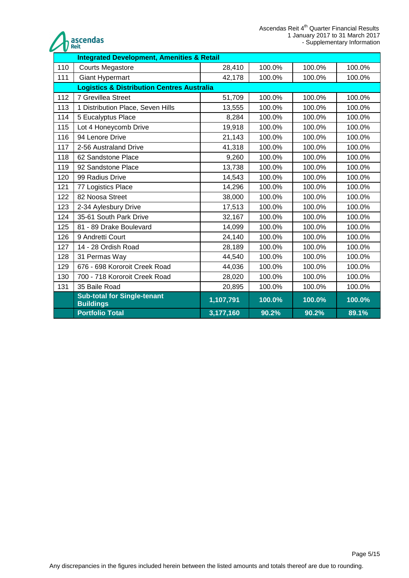



|     | <b>Integrated Development, Amenities &amp; Retail</b>  |           |        |        |        |  |
|-----|--------------------------------------------------------|-----------|--------|--------|--------|--|
| 110 | <b>Courts Megastore</b>                                | 28,410    | 100.0% | 100.0% | 100.0% |  |
| 111 | <b>Giant Hypermart</b>                                 | 42,178    | 100.0% | 100.0% | 100.0% |  |
|     | <b>Logistics &amp; Distribution Centres Australia</b>  |           |        |        |        |  |
| 112 | 7 Grevillea Street                                     | 51,709    | 100.0% | 100.0% | 100.0% |  |
| 113 | 1 Distribution Place, Seven Hills                      | 13,555    | 100.0% | 100.0% | 100.0% |  |
| 114 | 5 Eucalyptus Place                                     | 8,284     | 100.0% | 100.0% | 100.0% |  |
| 115 | Lot 4 Honeycomb Drive                                  | 19,918    | 100.0% | 100.0% | 100.0% |  |
| 116 | 94 Lenore Drive                                        | 21,143    | 100.0% | 100.0% | 100.0% |  |
| 117 | 2-56 Australand Drive                                  | 41,318    | 100.0% | 100.0% | 100.0% |  |
| 118 | 62 Sandstone Place                                     | 9,260     | 100.0% | 100.0% | 100.0% |  |
| 119 | 92 Sandstone Place                                     | 13,738    | 100.0% | 100.0% | 100.0% |  |
| 120 | 99 Radius Drive                                        | 14,543    | 100.0% | 100.0% | 100.0% |  |
| 121 | 77 Logistics Place                                     | 14,296    | 100.0% | 100.0% | 100.0% |  |
| 122 | 82 Noosa Street                                        | 38,000    | 100.0% | 100.0% | 100.0% |  |
| 123 | 2-34 Aylesbury Drive                                   | 17,513    | 100.0% | 100.0% | 100.0% |  |
| 124 | 35-61 South Park Drive                                 | 32,167    | 100.0% | 100.0% | 100.0% |  |
| 125 | 81 - 89 Drake Boulevard                                | 14,099    | 100.0% | 100.0% | 100.0% |  |
| 126 | 9 Andretti Court                                       | 24,140    | 100.0% | 100.0% | 100.0% |  |
| 127 | 14 - 28 Ordish Road                                    | 28,189    | 100.0% | 100.0% | 100.0% |  |
| 128 | 31 Permas Way                                          | 44,540    | 100.0% | 100.0% | 100.0% |  |
| 129 | 676 - 698 Kororoit Creek Road                          | 44,036    | 100.0% | 100.0% | 100.0% |  |
| 130 | 700 - 718 Kororoit Creek Road                          | 28,020    | 100.0% | 100.0% | 100.0% |  |
| 131 | 35 Baile Road                                          | 20,895    | 100.0% | 100.0% | 100.0% |  |
|     | <b>Sub-total for Single-tenant</b><br><b>Buildings</b> | 1,107,791 | 100.0% | 100.0% | 100.0% |  |
|     | <b>Portfolio Total</b>                                 | 3,177,160 | 90.2%  | 90.2%  | 89.1%  |  |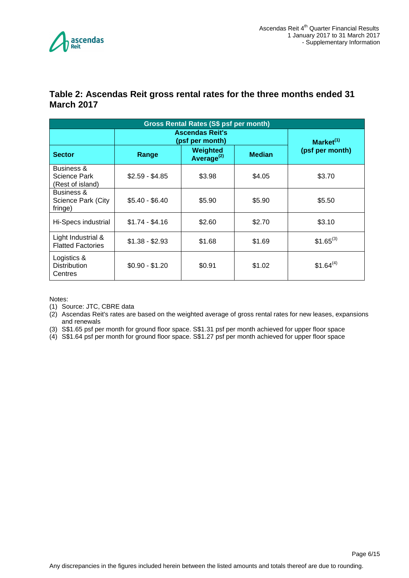

#### <span id="page-5-0"></span>**Table 2: Ascendas Reit gross rental rates for the three months ended 31 March 2017**

| <b>Gross Rental Rates (S\$ psf per month)</b>             |                                           |                                                     |        |                 |  |  |
|-----------------------------------------------------------|-------------------------------------------|-----------------------------------------------------|--------|-----------------|--|--|
|                                                           | <b>Ascendas Reit's</b><br>(psf per month) | Market <sup>(1)</sup>                               |        |                 |  |  |
| <b>Sector</b>                                             | Range                                     | Weighted<br><b>Median</b><br>Average <sup>(2)</sup> |        | (psf per month) |  |  |
| <b>Business &amp;</b><br>Science Park<br>(Rest of island) | $$2.59 - $4.85$                           | \$3.98                                              | \$4.05 | \$3.70          |  |  |
| Business &<br>Science Park (City<br>fringe)               | $$5.40 - $6.40$                           | \$5.90                                              | \$5.90 | \$5.50          |  |  |
| Hi-Specs industrial                                       | $$1.74 - $4.16$                           | \$2.60                                              | \$2.70 | \$3.10          |  |  |
| Light Industrial &<br><b>Flatted Factories</b>            | $$1.38 - $2.93$                           | \$1.68                                              | \$1.69 | $$1.65^{(3)}$   |  |  |
| Logistics &<br><b>Distribution</b><br>Centres             | $$0.90 - $1.20$                           | \$0.91                                              | \$1.02 | $$1.64^{(4)}$   |  |  |

Notes:

(1) Source: JTC, CBRE data

(2) Ascendas Reit's rates are based on the weighted average of gross rental rates for new leases, expansions and renewals

(3) S\$1.65 psf per month for ground floor space. S\$1.31 psf per month achieved for upper floor space

(4) S\$1.64 psf per month for ground floor space. S\$1.27 psf per month achieved for upper floor space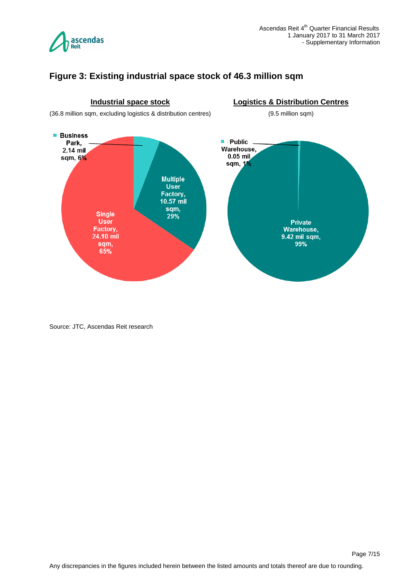

## <span id="page-6-0"></span>**Figure 3: Existing industrial space stock of 46.3 million sqm**



Source: JTC, Ascendas Reit research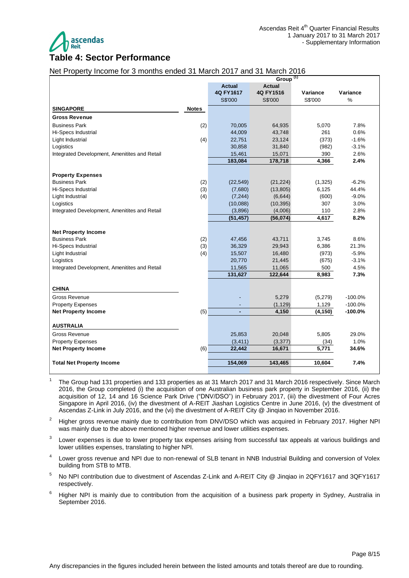

# <span id="page-7-0"></span>Net Property Income for 3 months ended 31 March 2017 and 31 March 2016

|                                               | Group <sup>(1)</sup> |                |               |          |           |
|-----------------------------------------------|----------------------|----------------|---------------|----------|-----------|
|                                               |                      | <b>Actual</b>  | <b>Actual</b> |          |           |
|                                               |                      | 4Q FY1617      | 4Q FY1516     | Variance | Variance  |
|                                               |                      | S\$'000        | S\$'000       | S\$'000  | $\%$      |
| <b>SINGAPORE</b>                              | <b>Notes</b>         |                |               |          |           |
| <b>Gross Revenue</b>                          |                      |                |               |          |           |
| <b>Business Park</b>                          | (2)                  | 70,005         | 64,935        | 5,070    | 7.8%      |
| Hi-Specs Industrial                           |                      | 44,009         | 43,748        | 261      | 0.6%      |
| Light Industrial                              | (4)                  | 22,751         | 23,124        | (373)    | $-1.6%$   |
| Logistics                                     |                      | 30,858         | 31,840        | (982)    | $-3.1%$   |
| Integrated Development, Amenitites and Retail |                      | 15,461         | 15,071        | 390      | 2.6%      |
|                                               |                      | 183,084        | 178,718       | 4,366    | 2.4%      |
|                                               |                      |                |               |          |           |
| <b>Property Expenses</b>                      |                      |                |               |          |           |
| <b>Business Park</b>                          | (2)                  | (22, 549)      | (21, 224)     | (1, 325) | $-6.2%$   |
| <b>Hi-Specs Industrial</b>                    | (3)                  | (7,680)        | (13, 805)     | 6,125    | 44.4%     |
| Light Industrial                              | (4)                  | (7, 244)       | (6,644)       | (600)    | $-9.0%$   |
| Logistics                                     |                      | (10,088)       | (10, 395)     | 307      | 3.0%      |
| Integrated Development, Amenitites and Retail |                      | (3,896)        | (4,006)       | 110      | 2.8%      |
|                                               |                      | (51, 457)      | (56,074)      | 4,617    | 8.2%      |
| <b>Net Property Income</b>                    |                      |                |               |          |           |
| <b>Business Park</b>                          | (2)                  | 47,456         | 43,711        | 3,745    | 8.6%      |
| Hi-Specs Industrial                           | (3)                  | 36,329         | 29,943        | 6,386    | 21.3%     |
| Light Industrial                              | (4)                  | 15,507         | 16,480        | (973)    | $-5.9%$   |
| Logistics                                     |                      | 20,770         | 21,445        | (675)    | $-3.1%$   |
| Integrated Development, Amenitites and Retail |                      | 11,565         | 11,065        | 500      | 4.5%      |
|                                               |                      | 131,627        | 122,644       | 8,983    | 7.3%      |
|                                               |                      |                |               |          |           |
| <b>CHINA</b>                                  |                      |                |               |          |           |
| Gross Revenue                                 |                      |                | 5,279         | (5,279)  | $-100.0%$ |
| <b>Property Expenses</b>                      |                      |                | (1, 129)      | 1,129    | $-100.0%$ |
| <b>Net Property Income</b>                    | (5)                  | $\overline{a}$ | 4,150         | (4, 150) | $-100.0%$ |
| <b>AUSTRALIA</b>                              |                      |                |               |          |           |
| <b>Gross Revenue</b>                          |                      | 25,853         | 20,048        | 5,805    | 29.0%     |
| <b>Property Expenses</b>                      |                      | (3, 411)       | (3, 377)      | (34)     | 1.0%      |
| <b>Net Property Income</b>                    | (6)                  | 22,442         | 16,671        | 5,771    | 34.6%     |
|                                               |                      |                |               |          |           |
| <b>Total Net Property Income</b>              |                      | 154,069        | 143,465       | 10,604   | 7.4%      |
|                                               |                      |                |               |          |           |

- <sup>1</sup>The Group had 131 properties and 133 properties as at 31 March 2017 and 31 March 2016 respectively. Since March 2016, the Group completed (i) the acquisition of one Australian business park property in September 2016, (ii) the acquisition of 12, 14 and 16 Science Park Drive ("DNV/DSO") in February 2017, (iii) the divestment of Four Acres Singapore in April 2016, (iv) the divestment of A-REIT Jiashan Logistics Centre in June 2016, (v) the divestment of Ascendas Z-Link in July 2016, and the (vi) the divestment of A-REIT City @ Jinqiao in November 2016.
- <sup>2</sup> Higher gross revenue mainly due to contribution from DNV/DSO which was acquired in February 2017. Higher NPI was mainly due to the above mentioned higher revenue and lower utilities expenses.
- 3 Lower expenses is due to lower property tax expenses arising from successful tax appeals at various buildings and lower utilities expenses, translating to higher NPI.
- 4 Lower gross revenue and NPI due to non-renewal of SLB tenant in NNB Industrial Building and conversion of Volex building from STB to MTB.
- <sup>5</sup> No NPI contribution due to divestment of Ascendas Z-Link and A-REIT City @ Jinqiao in 2QFY1617 and 3QFY1617 respectively.
- <sup>6</sup> Higher NPI is mainly due to contribution from the acquisition of a business park property in Sydney, Australia in September 2016.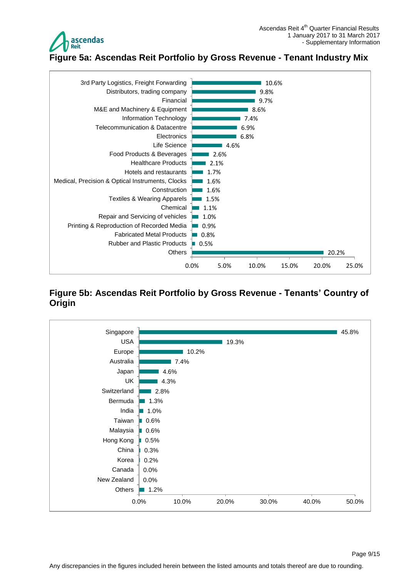

<span id="page-8-0"></span>**Figure 5a: Ascendas Reit Portfolio by Gross Revenue - Tenant Industry Mix**



#### <span id="page-8-1"></span>**Figure 5b: Ascendas Reit Portfolio by Gross Revenue - Tenants' Country of Origin**

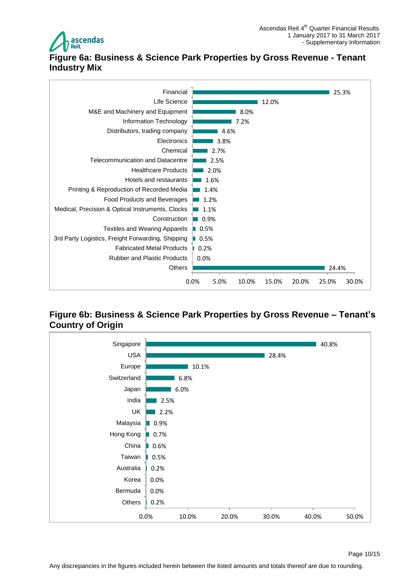

# <span id="page-9-0"></span>**Figure 6a: Business & Science Park Properties by Gross Revenue - Tenant Industry Mix**



#### <span id="page-9-1"></span>**Figure 6b: Business & Science Park Properties by Gross Revenue – Tenant's Country of Origin**

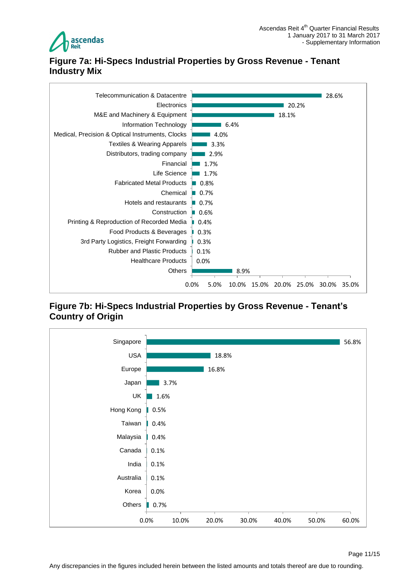

## <span id="page-10-0"></span>**Figure 7a: Hi-Specs Industrial Properties by Gross Revenue - Tenant Industry Mix**



#### <span id="page-10-1"></span>**Figure 7b: Hi-Specs Industrial Properties by Gross Revenue - Tenant's Country of Origin**

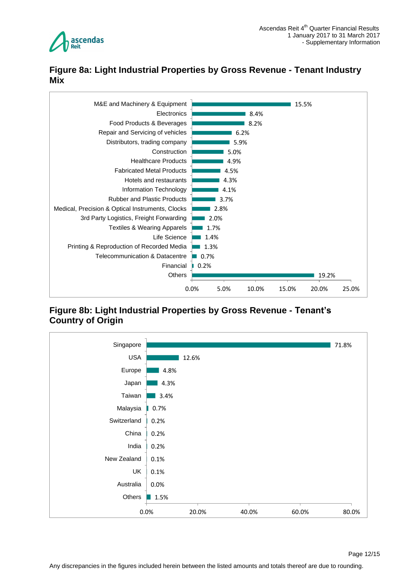

## <span id="page-11-0"></span>**Figure 8a: Light Industrial Properties by Gross Revenue - Tenant Industry Mix**



## <span id="page-11-1"></span>**Figure 8b: Light Industrial Properties by Gross Revenue - Tenant's Country of Origin**

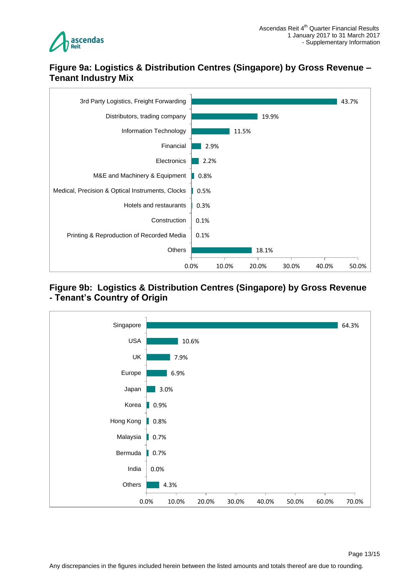

#### <span id="page-12-0"></span>**Figure 9a: Logistics & Distribution Centres (Singapore) by Gross Revenue – Tenant Industry Mix**



#### <span id="page-12-1"></span>**Figure 9b: Logistics & Distribution Centres (Singapore) by Gross Revenue - Tenant's Country of Origin**

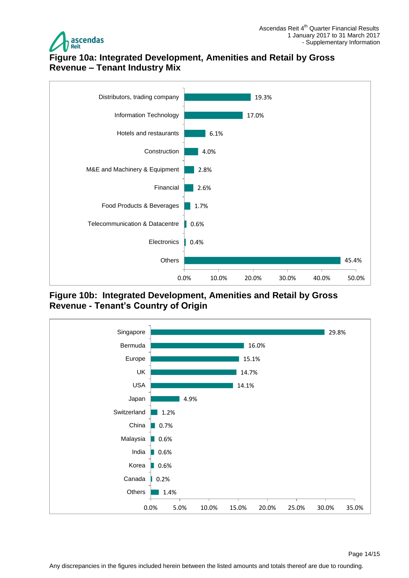

## <span id="page-13-0"></span>**Figure 10a: Integrated Development, Amenities and Retail by Gross Revenue – Tenant Industry Mix**



<span id="page-13-1"></span>**Figure 10b: Integrated Development, Amenities and Retail by Gross Revenue - Tenant's Country of Origin**